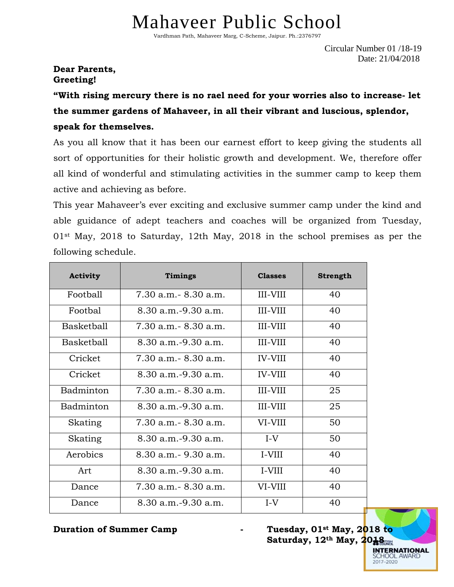## Mahaveer Public School

Vardhman Path, Mahaveer Marg, C-Scheme, Jaipur. Ph.:2376797

Circular Number 01 /18-19 Date: 21/04/2018

## **Dear Parents, Greeting!**

**"With rising mercury there is no rael need for your worries also to increase- let the summer gardens of Mahaveer, in all their vibrant and luscious, splendor, speak for themselves.**

As you all know that it has been our earnest effort to keep giving the students all sort of opportunities for their holistic growth and development. We, therefore offer all kind of wonderful and stimulating activities in the summer camp to keep them active and achieving as before.

This year Mahaveer's ever exciting and exclusive summer camp under the kind and able guidance of adept teachers and coaches will be organized from Tuesday, 01st May, 2018 to Saturday, 12th May, 2018 in the school premises as per the following schedule.

| <b>Activity</b>   | <b>Timings</b>           | <b>Classes</b>  | <b>Strength</b> |
|-------------------|--------------------------|-----------------|-----------------|
| Football          | 7.30 a.m. - 8.30 a.m.    | III-VIII        | 40              |
| Foothal           | $8.30$ a.m. $-9.30$ a.m. | <b>III-VIII</b> | 40              |
| Basketball        | $7.30$ a.m. $-8.30$ a.m. | III-VIII        | 40              |
| <b>Basketball</b> | 8.30 a.m.-9.30 a.m.      | <b>III-VIII</b> | 40              |
| Cricket           | $7.30$ a.m. $-8.30$ a.m. | <b>IV-VIII</b>  | 40              |
| Cricket           | $8.30$ a.m. $-9.30$ a.m. | <b>IV-VIII</b>  | 40              |
| Badminton         | $7.30$ a.m. $-8.30$ a.m. | III-VIII        | 25              |
| Badminton         | $8.30$ a.m. $-9.30$ a.m. | III-VIII        | 25              |
| Skating           | $7.30$ a.m. $-8.30$ a.m. | VI-VIII         | 50              |
| Skating           | $8.30$ a.m. $-9.30$ a.m. | $I-V$           | 50              |
| Aerobics          | $8.30$ a.m. $-9.30$ a.m. | I-VIII          | 40              |
| Art               | $8.30$ a.m. $-9.30$ a.m. | I-VIII          | 40              |
| Dance             | $7.30$ a.m. $-8.30$ a.m. | VI-VIII         | 40              |
| Dance             | $8.30$ a.m. $-9.30$ a.m. | $I-V$           | 40              |

**Duration of Summer Camp - Tuesday, 01st May, 2018 to Saturday, 12th May, 2018**

> **INTERNATIONAL** SCHOOL AWARL 2017-2020